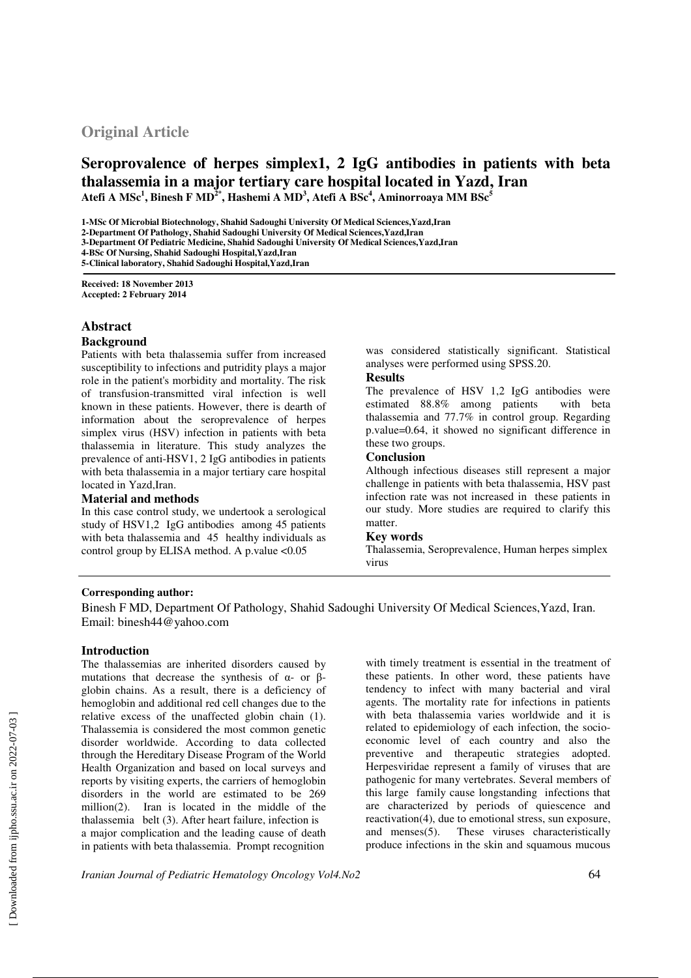# **Original Article**

## **Seroprovalence of herpes simplex1, 2 IgG antibodies in patients with beta thalassemia in a major tertiary care hospital located in Yazd, Iran Atefi A MSc<sup>1</sup> , Binesh F MD2\*, Hashemi A MD<sup>3</sup> , Atefi A BSc<sup>4</sup> , Aminorroaya MM BSc<sup>5</sup>**

**1-MSc Of Microbial Biotechnology, Shahid Sadoughi University Of Medical Sciences,Yazd,Iran** 

**2-Department Of Pathology, Shahid Sadoughi University Of Medical Sciences,Yazd,Iran** 

**3-Department Of Pediatric Medicine, Shahid Sadoughi University Of Medical Sciences,Yazd,Iran** 

**4-BSc Of Nursing, Shahid Sadoughi Hospital,Yazd,Iran** 

**5-Clinical laboratory, Shahid Sadoughi Hospital,Yazd,Iran**

**Received: 18 November 2013 Accepted: 2 February 2014**

## **Abstract**

#### **Background**

Patients with beta thalassemia suffer from increased susceptibility to infections and putridity plays a major role in the patient's morbidity and mortality. The risk of transfusion-transmitted viral infection is well known in these patients. However, there is dearth of information about the seroprevalence of herpes simplex virus (HSV) infection in patients with beta thalassemia in literature. This study analyzes the prevalence of anti-HSV1, 2 IgG antibodies in patients with beta thalassemia in a major tertiary care hospital located in Yazd,Iran.

## **Material and methods**

In this case control study, we undertook a serological study of HSV1,2 IgG antibodies among 45 patients with beta thalassemia and 45 healthy individuals as control group by ELISA method. A p.value <0.05

was considered statistically significant. Statistical analyses were performed using SPSS.20.

## **Results**

The prevalence of HSV 1,2 IgG antibodies were estimated 88.8% among patients with beta thalassemia and 77.7% in control group. Regarding p.value=0.64, it showed no significant difference in these two groups.

## **Conclusion**

Although infectious diseases still represent a major challenge in patients with beta thalassemia, HSV past infection rate was not increased in these patients in our study. More studies are required to clarify this matter.

#### **Key words**

Thalassemia, Seroprevalence, Human herpes simplex virus

## **Corresponding author:**

Binesh F MD, Department Of Pathology, Shahid Sadoughi University Of Medical Sciences,Yazd, Iran. Email: binesh44@yahoo.com

## **Introduction**

The thalassemias are inherited disorders caused by mutations that decrease the synthesis of  $\alpha$ - or  $\beta$ globin chains. As a result, there is a deficiency of hemoglobin and additional red cell changes due to the relative excess of the unaffected globin chain (1). Thalassemia is considered the most common genetic disorder worldwide. According to data collected through the Hereditary Disease Program of the World Health Organization and based on local surveys and reports by visiting experts, the carriers of hemoglobin disorders in the world are estimated to be 269 million(2). Iran is located in the middle of the thalassemia belt (3). After heart failure, infection is a major complication and the leading cause of death in patients with beta thalassemia. Prompt recognition

with timely treatment is essential in the treatment of these patients. In other word, these patients have tendency to infect with many bacterial and viral agents. The mortality rate for infections in patients with beta thalassemia varies worldwide and it is related to epidemiology of each infection, the socioeconomic level of each country and also the preventive and therapeutic strategies adopted. Herpesviridae represent a family of viruses that are pathogenic for many vertebrates. Several members of this large family cause longstanding infections that are characterized by periods of quiescence and reactivation(4), due to emotional stress, sun exposure, and menses(5). These viruses characteristically produce infections in the skin and squamous mucous

*Iranian Journal of Pediatric Hematology Oncology Vol4.No2* 64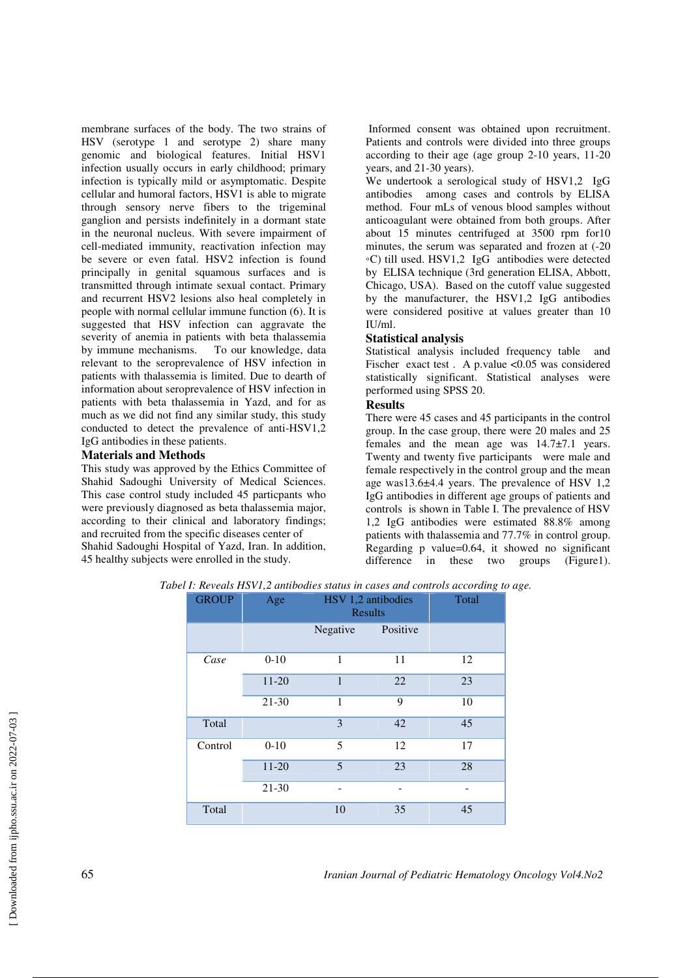membrane surfaces of the body. The two strains of HSV (serotype 1 and serotype 2) share many genomic and biological features. Initial HSV1 infection usually occurs in early childhood; primary infection is typically mild or asymptomatic. Despite cellular and humoral factors, HSV1 is able to migrate through sensory nerve fibers to the trigeminal ganglion and persists indefinitely in a dormant state in the neuronal nucleus. With severe impairment of cell-mediated immunity, reactivation infection may be severe or even fatal. HSV2 infection is found principally in genital squamous surfaces and is transmitted through intimate sexual contact. Primary and recurrent HSV2 lesions also heal completely in people with normal cellular immune function (6). It is suggested that HSV infection can aggravate the severity of anemia in patients with beta thalassemia by immune mechanisms. To our knowledge, data relevant to the seroprevalence of HSV infection in patients with thalassemia is limited. Due to dearth of information about seroprevalence of HSV infection in patients with beta thalassemia in Yazd, and for as much as we did not find any similar study, this study conducted to detect the prevalence of anti-HSV1,2 IgG antibodies in these patients.

### **Materials and Methods**

This study was approved by the Ethics Committee of Shahid Sadoughi University of Medical Sciences. This case control study included 45 particpants who were previously diagnosed as beta thalassemia major, according to their clinical and laboratory findings; and recruited from the specific diseases center of Shahid Sadoughi Hospital of Yazd, Iran. In addition, 45 healthy subjects were enrolled in the study.

 Informed consent was obtained upon recruitment. Patients and controls were divided into three groups according to their age (age group 2-10 years, 11-20 years, and 21-30 years).

We undertook a serological study of HSV1,2 IgG antibodies among cases and controls by ELISA method. Four mLs of venous blood samples without anticoagulant were obtained from both groups. After about 15 minutes centrifuged at 3500 rpm for10 minutes, the serum was separated and frozen at (-20 ◦C) till used. HSV1,2 IgG antibodies were detected by ELISA technique (3rd generation ELISA, Abbott, Chicago, USA). Based on the cutoff value suggested by the manufacturer, the HSV1,2 IgG antibodies were considered positive at values greater than 10 IU/ml.

#### **Statistical analysis**

Statistical analysis included frequency table and Fischer exact test. A p.value <0.05 was considered statistically significant. Statistical analyses were performed using SPSS 20.

### **Results**

There were 45 cases and 45 participants in the control group. In the case group, there were 20 males and 25 females and the mean age was 14.7±7.1 years. Twenty and twenty five participants were male and female respectively in the control group and the mean age was13.6±4.4 years. The prevalence of HSV 1,2 IgG antibodies in different age groups of patients and controls is shown in Table I. The prevalence of HSV 1,2 IgG antibodies were estimated 88.8% among patients with thalassemia and 77.7% in control group. Regarding p value=0.64, it showed no significant difference in these two groups (Figure1).

| <b>GROUP</b> | Age      | HSV 1,2 antibodies<br><b>Results</b> |          | Total |
|--------------|----------|--------------------------------------|----------|-------|
|              |          | Negative                             | Positive |       |
| Case         | $0 - 10$ | 1                                    | 11       | 12    |
|              | $11-20$  | $\mathbf{1}$                         | 22       | 23    |
|              | $21-30$  | 1                                    | 9        | 10    |
| Total        |          | 3                                    | 42       | 45    |
| Control      | $0 - 10$ | 5                                    | 12       | 17    |
|              | $11-20$  | 5                                    | 23       | 28    |
|              | 21-30    |                                      |          |       |
| Total        |          | 10                                   | 35       | 45    |

*Tabel I: Reveals HSV1,2 antibodies status in cases and controls according to age.*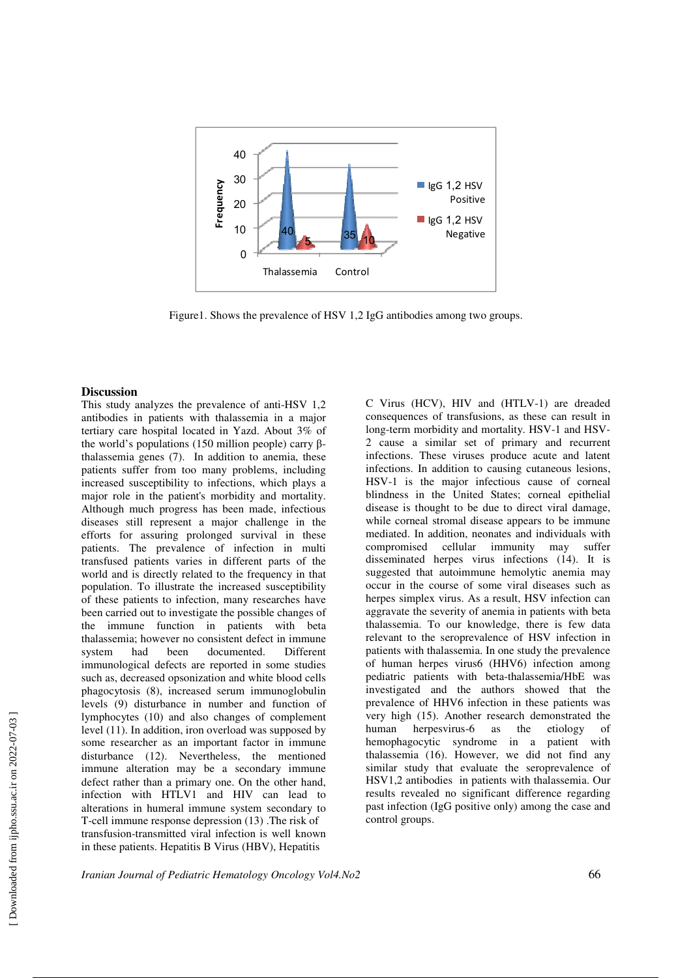

Figure1. Shows the prevalence of HSV 1,2 IgG antibodies among two groups.

#### **Discussion**

This study analyzes the prevalence of anti-HSV 1,2 antibodies in patients with thalassemia in a major tertiary care hospital located in Yazd. About 3% of the world's populations (150 million people) carry βthalassemia genes (7). In addition to anemia, these patients suffer from too many problems, including increased susceptibility to infections, which plays a major role in the patient's morbidity and mortality. Although much progress has been made, infectious diseases still represent a major challenge in the efforts for assuring prolonged survival in these patients. The prevalence of infection in multi transfused patients varies in different parts of the world and is directly related to the frequency in that population. To illustrate the increased susceptibility of these patients to infection, many researches have been carried out to investigate the possible changes of the immune function in patients with beta thalassemia; however no consistent defect in immune system had been documented. Different immunological defects are reported in some studies such as, decreased opsonization and white blood cells phagocytosis (8), increased serum immunoglobulin levels (9) disturbance in number and function of lymphocytes (10) and also changes of complement level (11). In addition, iron overload was supposed by some researcher as an important factor in immune disturbance (12). Nevertheless, the mentioned immune alteration may be a secondary immune defect rather than a primary one. On the other hand, infection with HTLV1 and HIV can lead to alterations in humeral immune system secondary to T-cell immune response depression (13) .The risk of transfusion-transmitted viral infection is well known in these patients. Hepatitis B Virus (HBV), Hepatitis

C Virus (HCV), HIV and (HTLV-1) are dreaded consequences of transfusions, as these can result in long-term morbidity and mortality. HSV-1 and HSV-2 cause a similar set of primary and recurrent infections. These viruses produce acute and latent infections. In addition to causing cutaneous lesions, HSV-1 is the major infectious cause of corneal blindness in the United States; corneal epithelial disease is thought to be due to direct viral damage, while corneal stromal disease appears to be immune mediated. In addition, neonates and individuals with compromised cellular immunity may suffer disseminated herpes virus infections (14). It is suggested that autoimmune hemolytic anemia may occur in the course of some viral diseases such as herpes simplex virus. As a result, HSV infection can aggravate the severity of anemia in patients with beta thalassemia. To our knowledge, there is few data relevant to the seroprevalence of HSV infection in patients with thalassemia. In one study the prevalence of human herpes virus6 (HHV6) infection among pediatric patients with beta-thalassemia/HbE was investigated and the authors showed that the prevalence of HHV6 infection in these patients was very high (15). Another research demonstrated the human herpesvirus-6 as the etiology of hemophagocytic syndrome in a patient with thalassemia (16). However, we did not find any similar study that evaluate the seroprevalence of HSV1,2 antibodies in patients with thalassemia. Our results revealed no significant difference regarding past infection (IgG positive only) among the case and control groups.